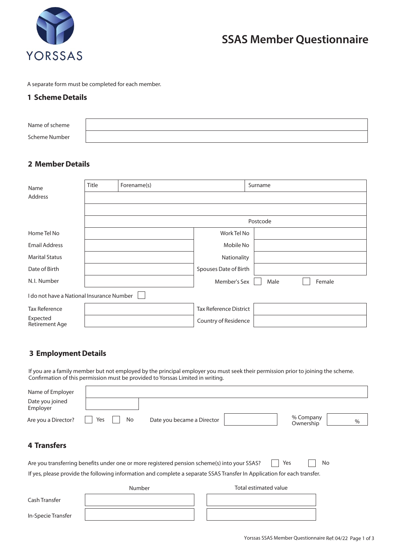

# **SSAS Member Questionnaire**

A separate form must be completed for each member.

#### **1 Scheme Details**

| Name of scheme |  |
|----------------|--|
| Scheme Number  |  |

### **2 Member Details**

| Name                                      | <b>Title</b> | Forename(s) |                               | Surname        |  |
|-------------------------------------------|--------------|-------------|-------------------------------|----------------|--|
| Address                                   |              |             |                               |                |  |
|                                           |              |             |                               |                |  |
|                                           | Postcode     |             |                               |                |  |
| Home Tel No                               |              |             | Work Tel No                   |                |  |
| <b>Email Address</b>                      |              |             | Mobile No                     |                |  |
| <b>Marital Status</b>                     |              |             | Nationality                   |                |  |
| Date of Birth                             |              |             | Spouses Date of Birth         |                |  |
| N.I. Number                               |              |             | Member's Sex                  | Female<br>Male |  |
| I do not have a National Insurance Number |              |             |                               |                |  |
| <b>Tax Reference</b>                      |              |             | <b>Tax Reference District</b> |                |  |
| Expected<br>Retirement Age                |              |             | Country of Residence          |                |  |

## **3 Employment Details**

If you are a family member but not employed by the principal employer you must seek their permission prior to joining the scheme. Confirmation of this permission must be provided to Yorssas Limited in writing.

| Name of Employer<br>Date you joined<br>Employer                                                                          |                                         |                                |  |  |
|--------------------------------------------------------------------------------------------------------------------------|-----------------------------------------|--------------------------------|--|--|
| Are you a Director?                                                                                                      | No<br>Date you became a Director<br>Yes | % Company<br>$\%$<br>Ownership |  |  |
| <b>4 Transfers</b>                                                                                                       |                                         |                                |  |  |
| Yes<br>No<br>Are you transferring benefits under one or more registered pension scheme(s) into your SSAS?                |                                         |                                |  |  |
| If yes, please provide the following information and complete a separate SSAS Transfer In Application for each transfer. |                                         |                                |  |  |
|                                                                                                                          | Number                                  | Total estimated value          |  |  |
| Cash Transfer                                                                                                            |                                         |                                |  |  |
| In-Specie Transfer                                                                                                       |                                         |                                |  |  |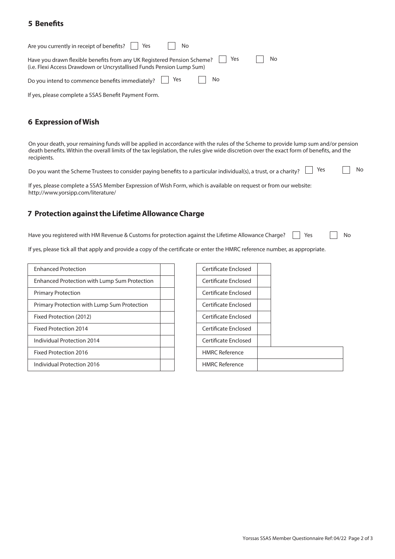### **5 Benets**

| Are you currently in receipt of benefits?   Yes<br><b>No</b>                                                                                                          |    |  |  |  |
|-----------------------------------------------------------------------------------------------------------------------------------------------------------------------|----|--|--|--|
| <b>No</b><br>Have you drawn flexible benefits from any UK Registered Pension Scheme?     Yes<br>(i.e. Flexi Access Drawdown or Uncrystallised Funds Pension Lump Sum) |    |  |  |  |
| Do you intend to commence benefits immediately? $\Box$ Yes                                                                                                            | No |  |  |  |

If yes, please complete a SSAS Benefit Payment Form.

### **6 Expression of Wish**

On your death, your remaining funds will be applied in accordance with the rules of the Scheme to provide lump sum and/or pension death benefits. Within the overall limits of the tax legislation, the rules give wide discretion over the exact form of benefits, and the recipients.

Do you want the Scheme Trustees to consider paying benefits to a particular individual(s), a trust, or a charity?  $\Box$  Yes  $\Box$  No

If yes, please complete a SSAS Member Expression of Wish Form, which is available on request or from our website: http://www.yorsipp.com/literature/

### **7 Protection against the Lifetime Allowance Charge**

Yes No Have you registered with HM Revenue & Customs for protection against the Lifetime Allowance Charge?

If yes, please tick all that apply and provide a copy of the certificate or enter the HMRC reference number, as appropriate.

| <b>Enhanced Protection</b>                   | Certificate Enclosed  |
|----------------------------------------------|-----------------------|
| Enhanced Protection with Lump Sum Protection | Certificate Enclosed  |
| <b>Primary Protection</b>                    | Certificate Enclosed  |
| Primary Protection with Lump Sum Protection  | Certificate Enclosed  |
| Fixed Protection (2012)                      | Certificate Enclosed  |
| Fixed Protection 2014                        | Certificate Enclosed  |
| Individual Protection 2014                   | Certificate Enclosed  |
| <b>Fixed Protection 2016</b>                 | <b>HMRC Reference</b> |
| Individual Protection 2016                   | <b>HMRC Reference</b> |
|                                              |                       |

| Certificate Enclosed  |  |
|-----------------------|--|
| Certificate Enclosed  |  |
| Certificate Enclosed  |  |
| Certificate Enclosed  |  |
| Certificate Enclosed  |  |
| Certificate Enclosed  |  |
| Certificate Enclosed  |  |
| <b>HMRC Reference</b> |  |
| <b>HMRC Reference</b> |  |